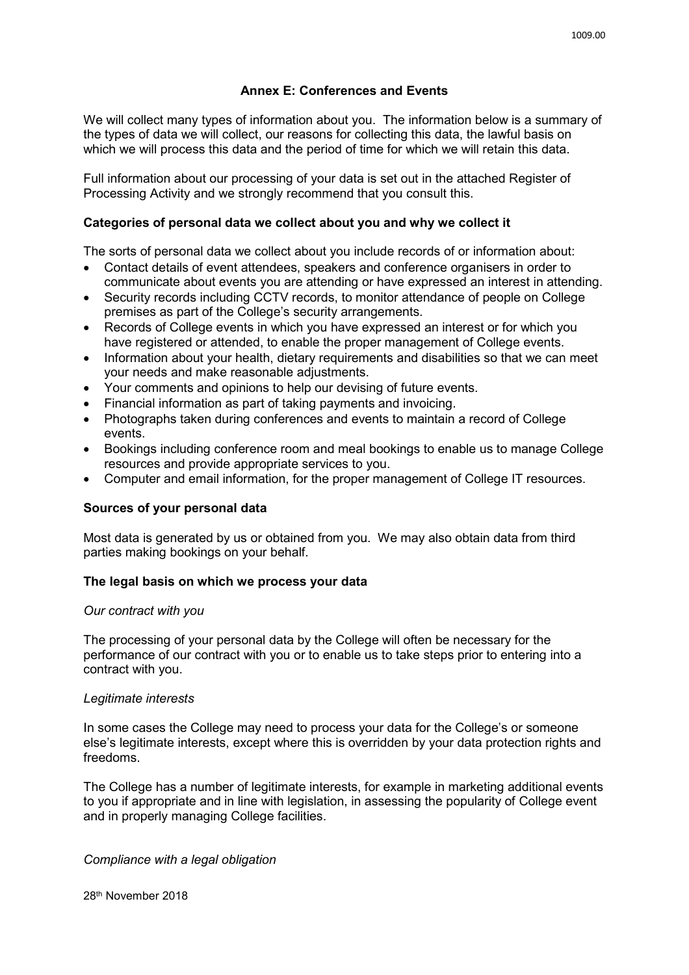# **Annex E: Conferences and Events**

We will collect many types of information about you. The information below is a summary of the types of data we will collect, our reasons for collecting this data, the lawful basis on which we will process this data and the period of time for which we will retain this data.

Full information about our processing of your data is set out in the attached Register of Processing Activity and we strongly recommend that you consult this.

## **Categories of personal data we collect about you and why we collect it**

The sorts of personal data we collect about you include records of or information about:

- Contact details of event attendees, speakers and conference organisers in order to communicate about events you are attending or have expressed an interest in attending.
- Security records including CCTV records, to monitor attendance of people on College premises as part of the College's security arrangements.
- Records of College events in which you have expressed an interest or for which you have registered or attended, to enable the proper management of College events.
- Information about your health, dietary requirements and disabilities so that we can meet your needs and make reasonable adjustments.
- Your comments and opinions to help our devising of future events.
- Financial information as part of taking payments and invoicing.
- Photographs taken during conferences and events to maintain a record of College events.
- Bookings including conference room and meal bookings to enable us to manage College resources and provide appropriate services to you.
- Computer and email information, for the proper management of College IT resources.

#### **Sources of your personal data**

Most data is generated by us or obtained from you. We may also obtain data from third parties making bookings on your behalf.

## **The legal basis on which we process your data**

#### *Our contract with you*

The processing of your personal data by the College will often be necessary for the performance of our contract with you or to enable us to take steps prior to entering into a contract with you.

#### *Legitimate interests*

In some cases the College may need to process your data for the College's or someone else's legitimate interests, except where this is overridden by your data protection rights and freedoms.

The College has a number of legitimate interests, for example in marketing additional events to you if appropriate and in line with legislation, in assessing the popularity of College event and in properly managing College facilities.

*Compliance with a legal obligation*

28th November 2018